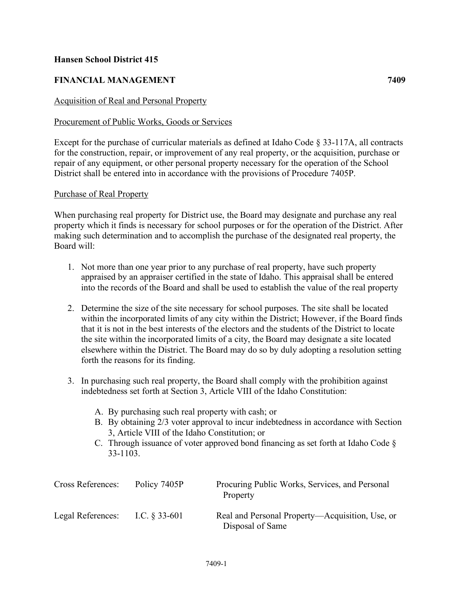## **Hansen School District 415**

# **FINANCIAL MANAGEMENT 7409**

# Acquisition of Real and Personal Property

## Procurement of Public Works, Goods or Services

Except for the purchase of curricular materials as defined at Idaho Code § 33-117A, all contracts for the construction, repair, or improvement of any real property, or the acquisition, purchase or repair of any equipment, or other personal property necessary for the operation of the School District shall be entered into in accordance with the provisions of Procedure 7405P.

### Purchase of Real Property

When purchasing real property for District use, the Board may designate and purchase any real property which it finds is necessary for school purposes or for the operation of the District. After making such determination and to accomplish the purchase of the designated real property, the Board will:

- 1. Not more than one year prior to any purchase of real property, have such property appraised by an appraiser certified in the state of Idaho. This appraisal shall be entered into the records of the Board and shall be used to establish the value of the real property
- 2. Determine the size of the site necessary for school purposes. The site shall be located within the incorporated limits of any city within the District; However, if the Board finds that it is not in the best interests of the electors and the students of the District to locate the site within the incorporated limits of a city, the Board may designate a site located elsewhere within the District. The Board may do so by duly adopting a resolution setting forth the reasons for its finding.
- 3. In purchasing such real property, the Board shall comply with the prohibition against indebtedness set forth at Section 3, Article VIII of the Idaho Constitution:
	- A. By purchasing such real property with cash; or
	- B. By obtaining 2/3 voter approval to incur indebtedness in accordance with Section 3, Article VIII of the Idaho Constitution; or
	- C. Through issuance of voter approved bond financing as set forth at Idaho Code § 33-1103.

| <b>Cross References:</b> | Policy 7405P     | Procuring Public Works, Services, and Personal<br>Property          |
|--------------------------|------------------|---------------------------------------------------------------------|
| Legal References:        | I.C. $\S 33-601$ | Real and Personal Property—Acquisition, Use, or<br>Disposal of Same |